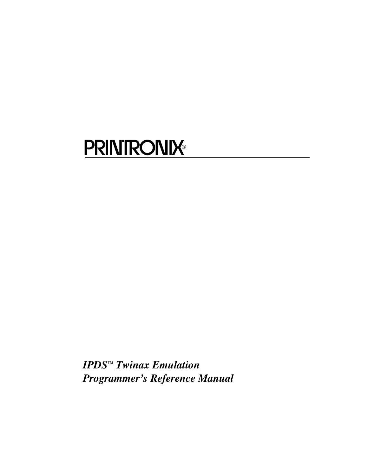# **PRINTRONIX®**

*IPDS*™ *Twinax Emulation Programmer's Reference Manual*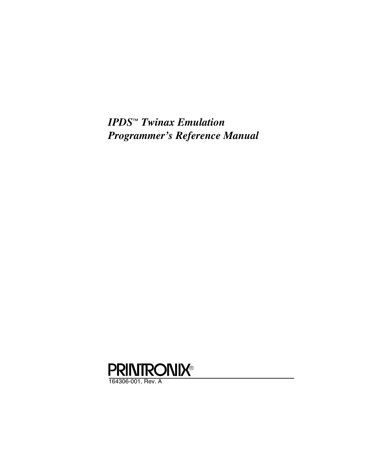*IPDS*™ *Twinax Emulation Programmer's Reference Manual*

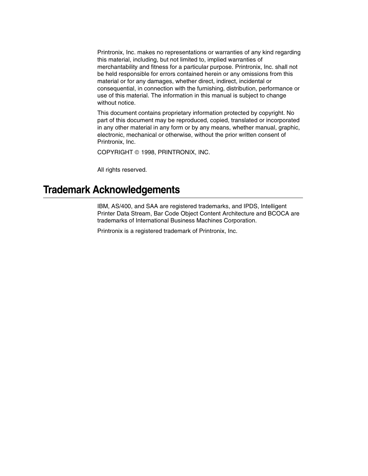Printronix, Inc. makes no representations or warranties of any kind regarding this material, including, but not limited to, implied warranties of merchantability and fitness for a particular purpose. Printronix, Inc. shall not be held responsible for errors contained herein or any omissions from this material or for any damages, whether direct, indirect, incidental or consequential, in connection with the furnishing, distribution, performance or use of this material. The information in this manual is subject to change without notice.

This document contains proprietary information protected by copyright. No part of this document may be reproduced, copied, translated or incorporated in any other material in any form or by any means, whether manual, graphic, electronic, mechanical or otherwise, without the prior written consent of Printronix, Inc.

COPYRIGHT © 1998, PRINTRONIX, INC.<br>'

All rights reserved.

# **Trademark Acknowledgements**

IBM, AS/400, and SAA are registered trademarks, and IPDS, Intelligent Printer Data Stream, Bar Code Object Content Architecture and BCOCA are trademarks of International Business Machines Corporation.

Printronix is a registered trademark of Printronix, Inc.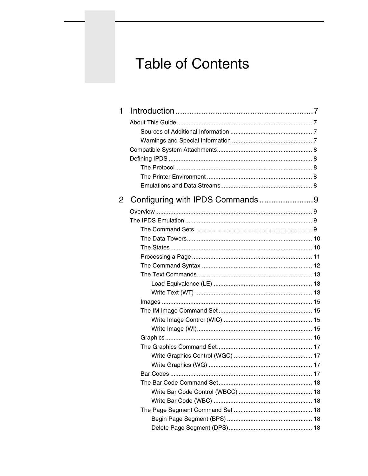# **Table of Contents**

 $\mathbf{1}$ 

| 1              |                                 |  |
|----------------|---------------------------------|--|
|                |                                 |  |
|                |                                 |  |
|                |                                 |  |
|                |                                 |  |
|                |                                 |  |
|                |                                 |  |
|                |                                 |  |
|                |                                 |  |
| $\overline{2}$ | Configuring with IPDS Commands9 |  |
|                |                                 |  |
|                |                                 |  |
|                |                                 |  |
|                |                                 |  |
|                |                                 |  |
|                |                                 |  |
|                |                                 |  |
|                |                                 |  |
|                |                                 |  |
|                |                                 |  |
|                |                                 |  |
|                |                                 |  |
|                |                                 |  |
|                |                                 |  |
|                |                                 |  |
|                |                                 |  |
|                |                                 |  |
|                |                                 |  |
|                |                                 |  |
|                |                                 |  |
|                |                                 |  |
|                |                                 |  |
|                |                                 |  |
|                |                                 |  |
|                |                                 |  |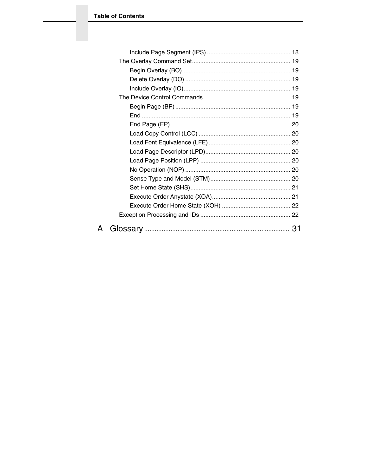$\boldsymbol{\mathsf{A}}$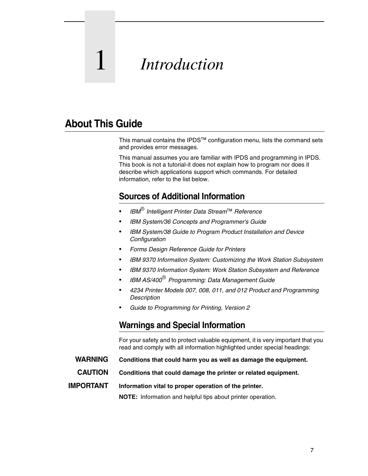# <span id="page-6-0"></span>1 *Introduction*

# <span id="page-6-1"></span>**About This Guide**

This manual contains the IPDS $^{TM}$  configuration menu, lists the command sets and provides error messages.

This manual assumes you are familiar with IPDS and programming in IPDS. This book is not a tutorial-it does not explain how to program nor does it describe which applications support which commands. For detailed information, refer to the list below.

## <span id="page-6-5"></span><span id="page-6-4"></span><span id="page-6-2"></span>**Sources of Additional Information**

- *IBM<sup>®</sup> Intelligent Printer Data Stream<sup>™</sup> Reference*
- *IBM System/36 Concepts and Programmer's Guide*
- *IBM System/38 Guide to Program Product Installation and Device Configuration*
- *Forms Design Reference Guide for Printers*
- *IBM 9370 Information System: Customizing the Work Station Subsystem*
- *IBM 9370 Information System: Work Station Subsystem and Reference*
- *IBM AS/400 Programming: Data Management Guide*
- *4234 Printer Models 007, 008, 011, and 012 Product and Programming Description*
- *Guide to Programming for Printing, Version 2*

# <span id="page-6-3"></span>**Warnings and Special Information**

For your safety and to protect valuable equipment, it is very important that you read and comply with all information highlighted under special headings:

- **WARNING Conditions that could harm you as well as damage the equipment.**
- **CAUTION Conditions that could damage the printer or related equipment.**
- **IMPORTANT Information vital to proper operation of the printer.**

**NOTE:** Information and helpful tips about printer operation.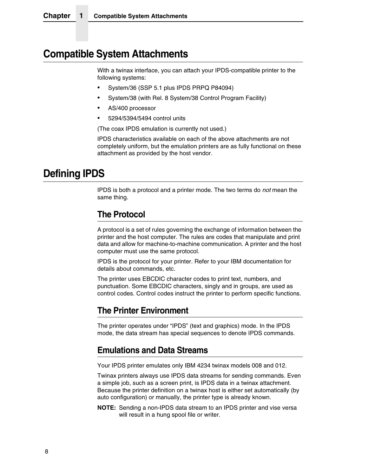# <span id="page-7-5"></span><span id="page-7-0"></span>**Compatible System Attachments**

With a twinax interface, you can attach your IPDS-compatible printer to the following systems:

- System/36 (SSP 5.1 plus IPDS PRPQ P84094)
- System/38 (with Rel. 8 System/38 Control Program Facility)
- AS/400 processor
- 5294/5394/5494 control units

(The coax IPDS emulation is currently not used.)

IPDS characteristics available on each of the above attachments are not completely uniform, but the emulation printers are as fully functional on these attachment as provided by the host vendor.

# <span id="page-7-8"></span><span id="page-7-1"></span>**Defining IPDS**

IPDS is both a protocol and a printer mode. The two terms do *not* mean the same thing.

#### <span id="page-7-9"></span><span id="page-7-2"></span>**The Protocol**

A protocol is a set of rules governing the exchange of information between the printer and the host computer. The rules are codes that manipulate and print data and allow for machine-to-machine communication. A printer and the host computer must use the same protocol.

IPDS is the protocol for your printer. Refer to your IBM documentation for details about commands, etc.

The printer uses EBCDIC character codes to print text, numbers, and punctuation. Some EBCDIC characters, singly and in groups, are used as control codes. Control codes instruct the printer to perform specific functions.

#### <span id="page-7-7"></span><span id="page-7-3"></span>**The Printer Environment**

The printer operates under "IPDS" (text and graphics) mode. In the IPDS mode, the data stream has special sequences to denote IPDS commands.

#### <span id="page-7-6"></span><span id="page-7-4"></span>**Emulations and Data Streams**

Your IPDS printer emulates only IBM 4234 twinax models 008 and 012.

Twinax printers always use IPDS data streams for sending commands. Even a simple job, such as a screen print, is IPDS data in a twinax attachment. Because the printer definition on a twinax host is either set automatically (by auto configuration) or manually, the printer type is already known.

**NOTE:** Sending a non-IPDS data stream to an IPDS printer and vise versa will result in a hung spool file or writer.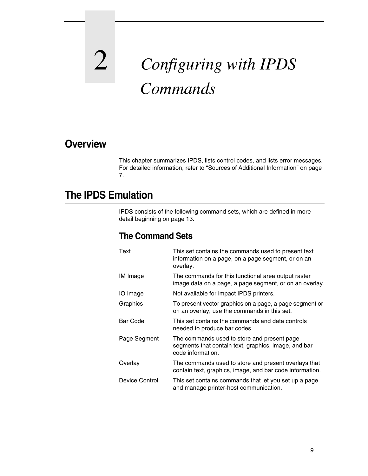# <span id="page-8-0"></span>2 *Configuring with IPDS Commands*

# <span id="page-8-1"></span>**Overview**

This chapter summarizes IPDS, lists control codes, and lists error messages. For detailed information, refer to ["Sources of Additional Information" on page](#page-6-4)  [7.](#page-6-4)

# <span id="page-8-5"></span><span id="page-8-2"></span>**The IPDS Emulation**

IPDS consists of the following command sets, which are defined in more detail beginning on [page 13.](#page-12-0)

# <span id="page-8-3"></span>**The Command Sets**

<span id="page-8-12"></span><span id="page-8-11"></span><span id="page-8-10"></span><span id="page-8-9"></span><span id="page-8-8"></span><span id="page-8-7"></span><span id="page-8-6"></span><span id="page-8-4"></span>

| Text           | This set contains the commands used to present text<br>information on a page, on a page segment, or on an<br>overlay.    |
|----------------|--------------------------------------------------------------------------------------------------------------------------|
| IM Image       | The commands for this functional area output raster<br>image data on a page, a page segment, or on an overlay.           |
| IO Image       | Not available for impact IPDS printers.                                                                                  |
| Graphics       | To present vector graphics on a page, a page segment or<br>on an overlay, use the commands in this set.                  |
| Bar Code       | This set contains the commands and data controls<br>needed to produce bar codes.                                         |
| Page Segment   | The commands used to store and present page<br>segments that contain text, graphics, image, and bar<br>code information. |
| Overlay        | The commands used to store and present overlays that<br>contain text, graphics, image, and bar code information.         |
| Device Control | This set contains commands that let you set up a page<br>and manage printer-host communication.                          |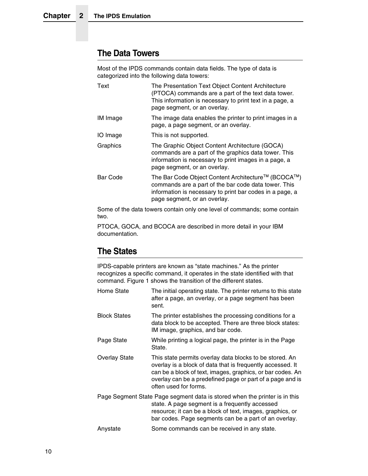#### <span id="page-9-5"></span><span id="page-9-0"></span>**The Data Towers**

<span id="page-9-11"></span>Most of the IPDS commands contain data fields. The type of data is categorized into the following data towers:

<span id="page-9-6"></span>

| Text     | The Presentation Text Object Content Architecture<br>(PTOCA) commands are a part of the text data tower.<br>This information is necessary to print text in a page, a<br>page segment, or an overlay.   |
|----------|--------------------------------------------------------------------------------------------------------------------------------------------------------------------------------------------------------|
| IM Image | The image data enables the printer to print images in a<br>page, a page segment, or an overlay.                                                                                                        |
| IO Image | This is not supported.                                                                                                                                                                                 |
| Graphics | The Graphic Object Content Architecture (GOCA)<br>commands are a part of the graphics data tower. This<br>information is necessary to print images in a page, a<br>page segment, or an overlay.        |
| Bar Code | The Bar Code Object Content Architecture™ (BCOCA™)<br>commands are a part of the bar code data tower. This<br>information is necessary to print bar codes in a page, a<br>page segment, or an overlay. |

<span id="page-9-3"></span>Some of the data towers contain only one level of commands; some contain two.

PTOCA, GOCA, and BCOCA are described in more detail in your IBM documentation.

#### <span id="page-9-12"></span><span id="page-9-1"></span>**The States**

IPDS-capable printers are known as "state machines." As the printer recognizes a specific command, it operates in the state identified with that command. [Figure 1](#page-10-1) shows the transition of the different states.

<span id="page-9-10"></span><span id="page-9-9"></span><span id="page-9-8"></span><span id="page-9-7"></span><span id="page-9-4"></span><span id="page-9-2"></span>

| Home State           | The initial operating state. The printer returns to this state<br>after a page, an overlay, or a page segment has been<br>sent.                                                                                                                                           |
|----------------------|---------------------------------------------------------------------------------------------------------------------------------------------------------------------------------------------------------------------------------------------------------------------------|
| <b>Block States</b>  | The printer establishes the processing conditions for a<br>data block to be accepted. There are three block states:<br>IM image, graphics, and bar code.                                                                                                                  |
| Page State           | While printing a logical page, the printer is in the Page<br>State.                                                                                                                                                                                                       |
| <b>Overlay State</b> | This state permits overlay data blocks to be stored. An<br>overlay is a block of data that is frequently accessed. It<br>can be a block of text, images, graphics, or bar codes. An<br>overlay can be a predefined page or part of a page and is<br>often used for forms. |
|                      | Page Segment State Page segment data is stored when the printer is in this<br>state. A page segment is a frequently accessed<br>resource; it can be a block of text, images, graphics, or<br>bar codes. Page segments can be a part of an overlay.                        |
| Anystate             | Some commands can be received in any state.                                                                                                                                                                                                                               |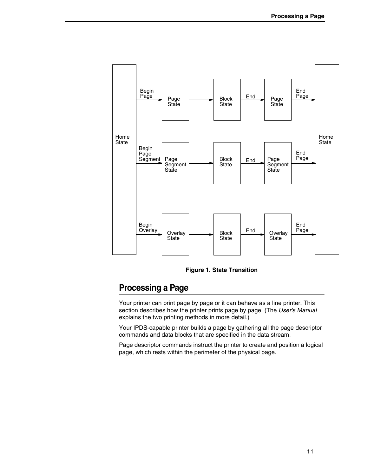

<span id="page-10-3"></span>**Figure 1. State Transition**

# <span id="page-10-2"></span><span id="page-10-1"></span><span id="page-10-0"></span>**Processing a Page**

Your printer can print page by page or it can behave as a line printer. This section describes how the printer prints page by page. (The *User's Manual*  explains the two printing methods in more detail.)

Your IPDS-capable printer builds a page by gathering all the page descriptor commands and data blocks that are specified in the data stream.

Page descriptor commands instruct the printer to create and position a logical page, which rests within the perimeter of the physical page.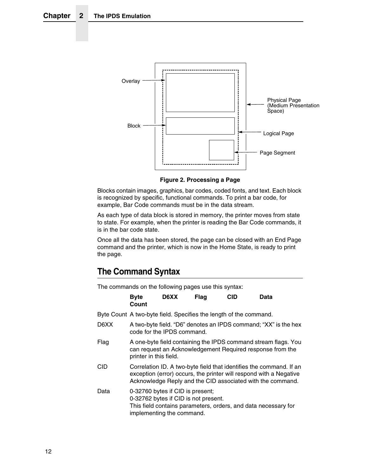

**Figure 2. Processing a Page**

Blocks contain images, graphics, bar codes, coded fonts, and text. Each block is recognized by specific, functional commands. To print a bar code, for example, Bar Code commands must be in the data stream.

As each type of data block is stored in memory, the printer moves from state to state. For example, when the printer is reading the Bar Code commands, it is in the bar code state.

Once all the data has been stored, the page can be closed with an End Page command and the printer, which is now in the Home State, is ready to print the page.

# <span id="page-11-1"></span><span id="page-11-0"></span>**The Command Syntax**

The commands on the following pages use this syntax:

| Byte<br>Count | D6XX | Flag | <b>CID</b> | Data |
|---------------|------|------|------------|------|
|               |      |      |            |      |

Byte Count A two-byte field. Specifies the length of the command.

- D6XX A two-byte field. "D6" denotes an IPDS command; "XX" is the hex code for the IPDS command.
- Flag A one-byte field containing the IPDS command stream flags. You can request an Acknowledgement Required response from the printer in this field.
- <span id="page-11-2"></span>CID Correlation ID. A two-byte field that identifies the command. If an exception (error) occurs, the printer will respond with a Negative Acknowledge Reply and the CID associated with the command.

Data 0-32760 bytes if CID is present; 0-32762 bytes if CID is not present. This field contains parameters, orders, and data necessary for implementing the command.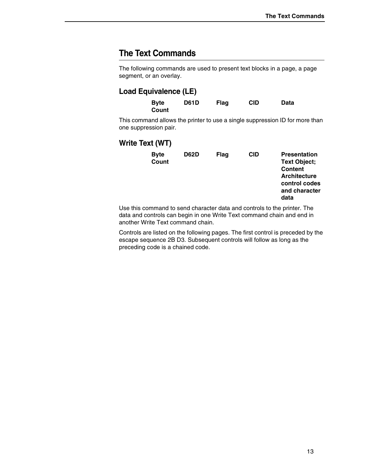# <span id="page-12-4"></span><span id="page-12-0"></span>**The Text Commands**

The following commands are used to present text blocks in a page, a page segment, or an overlay.

#### <span id="page-12-3"></span><span id="page-12-1"></span>**Load Equivalence (LE)**

| <b>Byte</b> | <b>D61D</b> | Flag | <b>CID</b> | Data |
|-------------|-------------|------|------------|------|
| Count       |             |      |            |      |

This command allows the printer to use a single suppression ID for more than one suppression pair.

#### <span id="page-12-5"></span><span id="page-12-2"></span>**Write Text (WT)**

| <b>Byte</b><br>Count | <b>D62D</b> | Flag | <b>CID</b> | <b>Presentation</b><br><b>Text Object;</b><br><b>Content</b><br><b>Architecture</b><br>control codes<br>and character<br>data |
|----------------------|-------------|------|------------|-------------------------------------------------------------------------------------------------------------------------------|
|                      |             |      |            |                                                                                                                               |

Use this command to send character data and controls to the printer. The data and controls can begin in one Write Text command chain and end in another Write Text command chain.

Controls are listed on the following pages. The first control is preceded by the escape sequence 2B D3. Subsequent controls will follow as long as the preceding code is a chained code.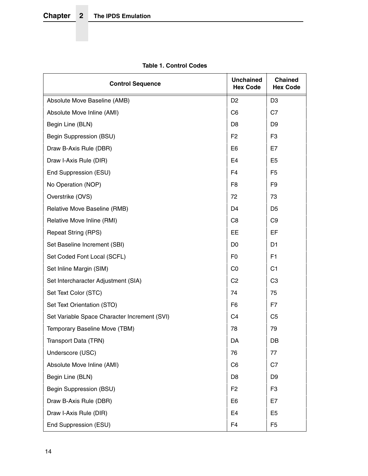| <b>Control Sequence</b>                      | <b>Unchained</b><br><b>Hex Code</b> | <b>Chained</b><br><b>Hex Code</b> |
|----------------------------------------------|-------------------------------------|-----------------------------------|
| Absolute Move Baseline (AMB)                 | D <sub>2</sub>                      | D <sub>3</sub>                    |
| Absolute Move Inline (AMI)                   | C6                                  | C7                                |
| Begin Line (BLN)                             | D <sub>8</sub>                      | D <sub>9</sub>                    |
| Begin Suppression (BSU)                      | F <sub>2</sub>                      | F <sub>3</sub>                    |
| Draw B-Axis Rule (DBR)                       | E6                                  | E7                                |
| Draw I-Axis Rule (DIR)                       | E4                                  | E <sub>5</sub>                    |
| End Suppression (ESU)                        | F4                                  | F <sub>5</sub>                    |
| No Operation (NOP)                           | F8                                  | F <sub>9</sub>                    |
| Overstrike (OVS)                             | 72                                  | 73                                |
| Relative Move Baseline (RMB)                 | D4                                  | D <sub>5</sub>                    |
| Relative Move Inline (RMI)                   | C <sub>8</sub>                      | C <sub>9</sub>                    |
| <b>Repeat String (RPS)</b>                   | EЕ                                  | EF                                |
| Set Baseline Increment (SBI)                 | D <sub>0</sub>                      | D <sub>1</sub>                    |
| Set Coded Font Local (SCFL)                  | F <sub>0</sub>                      | F1                                |
| Set Inline Margin (SIM)                      | CO                                  | C <sub>1</sub>                    |
| Set Intercharacter Adjustment (SIA)          | C <sub>2</sub>                      | C <sub>3</sub>                    |
| Set Text Color (STC)                         | 74                                  | 75                                |
| Set Text Orientation (STO)                   | F <sub>6</sub>                      | F7                                |
| Set Variable Space Character Increment (SVI) | C <sub>4</sub>                      | C <sub>5</sub>                    |
| Temporary Baseline Move (TBM)                | 78                                  | 79                                |
| Transport Data (TRN)                         | DA                                  | DB                                |
| Underscore (USC)                             | 76                                  | 77                                |
| Absolute Move Inline (AMI)                   | C <sub>6</sub>                      | C7                                |
| Begin Line (BLN)                             | D <sub>8</sub>                      | D <sub>9</sub>                    |
| Begin Suppression (BSU)                      | F <sub>2</sub>                      | F <sub>3</sub>                    |
| Draw B-Axis Rule (DBR)                       | E <sub>6</sub>                      | E7                                |
| Draw I-Axis Rule (DIR)                       | E4                                  | E <sub>5</sub>                    |
| End Suppression (ESU)                        | F4                                  | F <sub>5</sub>                    |

#### **Table 1. Control Codes**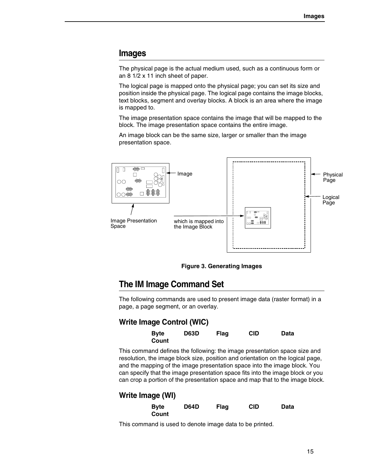#### <span id="page-14-5"></span><span id="page-14-0"></span>**Images**

The physical page is the actual medium used, such as a continuous form or an 8 1/2 x 11 inch sheet of paper.

The logical page is mapped onto the physical page; you can set its size and position inside the physical page. The logical page contains the image blocks, text blocks, segment and overlay blocks. A block is an area where the image is mapped to.

The image presentation space contains the image that will be mapped to the block. The image presentation space contains the entire image.

An image block can be the same size, larger or smaller than the image presentation space.



**Figure 3. Generating Images**

#### <span id="page-14-4"></span><span id="page-14-1"></span>**The IM Image Command Set**

The following commands are used to present image data (raster format) in a page, a page segment, or an overlay.

#### <span id="page-14-7"></span><span id="page-14-2"></span>**Write Image Control (WIC)**

| <b>Byte</b> | D63D | Flag | <b>CID</b> | Data |
|-------------|------|------|------------|------|
| Count       |      |      |            |      |

This command defines the following: the image presentation space size and resolution, the image block size, position and orientation on the logical page, and the mapping of the image presentation space into the image block. You can specify that the image presentation space fits into the image block or you can crop a portion of the presentation space and map that to the image block.

#### <span id="page-14-6"></span><span id="page-14-3"></span>**Write Image (WI)**

| <b>Byte</b><br>Count | <b>D64D</b> | Flag | <b>CID</b> | Data |
|----------------------|-------------|------|------------|------|
|                      |             |      |            |      |

This command is used to denote image data to be printed.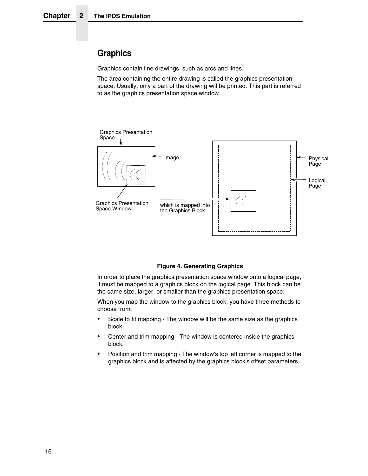#### <span id="page-15-2"></span><span id="page-15-0"></span>**Graphics**

Graphics contain line drawings, such as arcs and lines.

The area containing the entire drawing is called the graphics presentation space. Usually, only a part of the drawing will be printed. This part is referred to as the graphics presentation space window.



#### <span id="page-15-3"></span>**Figure 4. Generating Graphics**

In order to place the graphics presentation space window onto a logical page, it must be mapped to a graphics block on the logical page. This block can be the same size, larger, or smaller than the graphics presentation space.

When you map the window to the graphics block, you have three methods to choose from:

- <span id="page-15-4"></span>• Scale to fit mapping - The window will be the same size as the graphics block.
- <span id="page-15-1"></span>• Center and trim mapping - The window is centered inside the graphics block.
- Position and trim mapping The window's top left corner is mapped to the graphics block and is affected by the graphics block's offset parameters.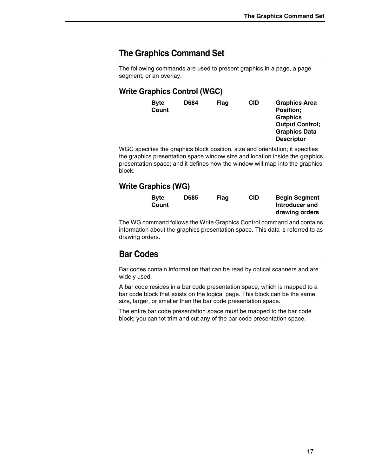# <span id="page-16-5"></span><span id="page-16-0"></span>**The Graphics Command Set**

The following commands are used to present graphics in a page, a page segment, or an overlay.

#### <span id="page-16-7"></span><span id="page-16-1"></span>**Write Graphics Control (WGC)**

| <b>Byte</b> | D684 | Flag | <b>CID</b> | <b>Graphics Area</b>   |
|-------------|------|------|------------|------------------------|
| Count       |      |      |            | Position;              |
|             |      |      |            | <b>Graphics</b>        |
|             |      |      |            | <b>Output Control;</b> |
|             |      |      |            | <b>Graphics Data</b>   |
|             |      |      |            | <b>Descriptor</b>      |
|             |      |      |            |                        |

WGC specifies the graphics block position, size and orientation; it specifies the graphics presentation space window size and location inside the graphics presentation space; and it defines how the window will map into the graphics block.

#### <span id="page-16-6"></span><span id="page-16-2"></span>**Write Graphics (WG)**

| <b>Byte</b> | D685 | Flag | <b>CID</b> | <b>Begin Segment</b> |
|-------------|------|------|------------|----------------------|
| Count       |      |      |            | Introducer and       |
|             |      |      |            | drawing orders       |

The WG command follows the Write Graphics Control command and contains information about the graphics presentation space. This data is referred to as drawing orders.

# <span id="page-16-4"></span><span id="page-16-3"></span>**Bar Codes**

Bar codes contain information that can be read by optical scanners and are widely used.

A bar code resides in a bar code presentation space, which is mapped to a bar code block that exists on the logical page. This block can be the same size, larger, or smaller than the bar code presentation space.

The entire bar code presentation space must be mapped to the bar code block; you cannot trim and cut any of the bar code presentation space.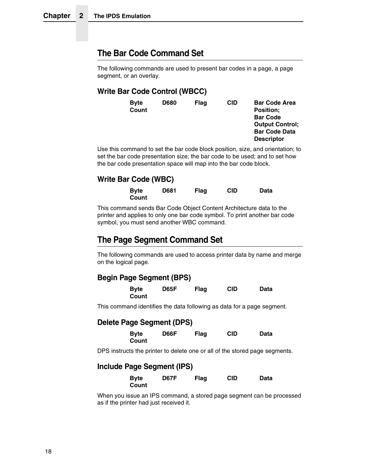#### <span id="page-17-7"></span><span id="page-17-0"></span>**The Bar Code Command Set**

The following commands are used to present bar codes in a page, a page segment, or an overlay.

#### <span id="page-17-13"></span><span id="page-17-1"></span>**Write Bar Code Control (WBCC)**

| <b>Byte</b> | <b>D680</b> | Flag | <b>CID</b> | <b>Bar Code Area</b>   |
|-------------|-------------|------|------------|------------------------|
| Count       |             |      |            | Position;              |
|             |             |      |            | <b>Bar Code</b>        |
|             |             |      |            | <b>Output Control;</b> |
|             |             |      |            | <b>Bar Code Data</b>   |
|             |             |      |            | <b>Descriptor</b>      |
|             |             |      |            |                        |

Use this command to set the bar code block position, size, and orientation; to set the bar code presentation size; the bar code to be used; and to set how the bar code presentation space will map into the bar code block.

#### <span id="page-17-12"></span><span id="page-17-2"></span>**Write Bar Code (WBC)**

| <b>Byte</b> | <b>D681</b> | <b>Flag</b> | <b>CID</b> | <b>Data</b> |
|-------------|-------------|-------------|------------|-------------|
| Count       |             |             |            |             |

This command sends Bar Code Object Content Architecture data to the printer and applies to only one bar code symbol. To print another bar code symbol, you must send another WBC command.

# <span id="page-17-9"></span><span id="page-17-3"></span>**The Page Segment Command Set**

The following commands are used to access printer data by name and merge on the logical page.

#### <span id="page-17-8"></span><span id="page-17-4"></span>**Begin Page Segment (BPS)**

| <b>Byte</b> | <b>D65F</b> | <b>Flag</b> | <b>CID</b> | Data |
|-------------|-------------|-------------|------------|------|
| Count       |             |             |            |      |

<span id="page-17-10"></span>This command identifies the data following as data for a page segment.

#### <span id="page-17-5"></span>**Delete Page Segment (DPS)**

| <b>Byte</b> | D66F | Flag | <b>CID</b> | Data |
|-------------|------|------|------------|------|
| Count       |      |      |            |      |

<span id="page-17-11"></span>DPS instructs the printer to delete one or all of the stored page segments.

#### <span id="page-17-6"></span>**Include Page Segment (IPS)**

| <b>Byte</b> | <b>D67F</b> | <b>Flag</b> | <b>CID</b> | Data |
|-------------|-------------|-------------|------------|------|
| Count       |             |             |            |      |

When you issue an IPS command, a stored page segment can be processed as if the printer had just received it.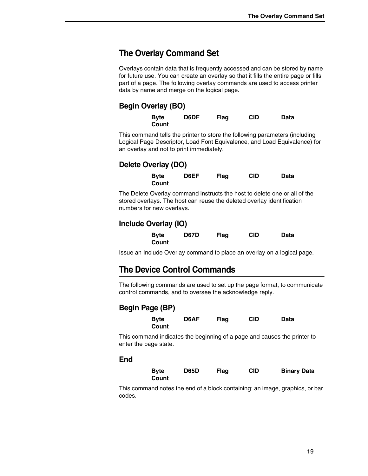# <span id="page-18-10"></span><span id="page-18-0"></span>**The Overlay Command Set**

Overlays contain data that is frequently accessed and can be stored by name for future use. You can create an overlay so that it fills the entire page or fills part of a page. The following overlay commands are used to access printer data by name and merge on the logical page.

#### <span id="page-18-8"></span><span id="page-18-1"></span>**Begin Overlay (BO)**

| <b>Byte</b> | D6DF | Flag | <b>CID</b> | Data |
|-------------|------|------|------------|------|
| Count       |      |      |            |      |

This command tells the printer to store the following parameters (including Logical Page Descriptor, Load Font Equivalence, and Load Equivalence) for an overlay and not to print immediately.

#### <span id="page-18-11"></span><span id="page-18-2"></span>**Delete Overlay (DO)**

| <b>Byte</b> | D6EF | Flag | <b>CID</b> | Data |
|-------------|------|------|------------|------|
| Count       |      |      |            |      |

The Delete Overlay command instructs the host to delete one or all of the stored overlays. The host can reuse the deleted overlay identification numbers for new overlays.

#### <span id="page-18-13"></span><span id="page-18-3"></span>**Include Overlay (IO)**

| Byte  | <b>D67D</b> | <b>Flag</b> | <b>CID</b> | Data |
|-------|-------------|-------------|------------|------|
| Count |             |             |            |      |

<span id="page-18-7"></span>Issue an Include Overlay command to place an overlay on a logical page.

# <span id="page-18-4"></span>**The Device Control Commands**

The following commands are used to set up the page format, to communicate control commands, and to oversee the acknowledge reply.

#### <span id="page-18-9"></span><span id="page-18-5"></span>**Begin Page (BP)**

| <b>Byte</b> | D6AF | Flag | <b>CID</b> | Data |
|-------------|------|------|------------|------|
| Count       |      |      |            |      |

This command indicates the beginning of a page and causes the printer to enter the page state.

#### <span id="page-18-12"></span><span id="page-18-6"></span>**End**

| <b>Byte</b><br>Count | <b>D65D</b> | Flag | <b>CID</b> | <b>Binary Data</b> |
|----------------------|-------------|------|------------|--------------------|
|                      |             |      |            |                    |

This command notes the end of a block containing: an image, graphics, or bar codes.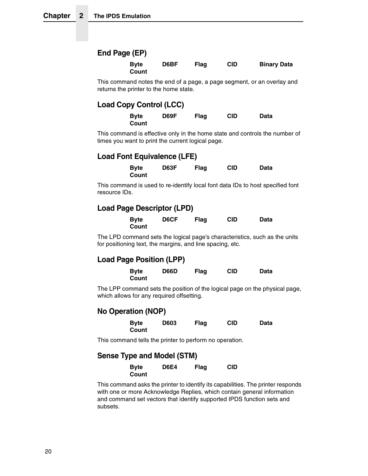#### <span id="page-19-7"></span><span id="page-19-0"></span>**End Page (EP)**

| Byte  | D6BF | Flaq | <b>CID</b> | <b>Binary Data</b> |
|-------|------|------|------------|--------------------|
| Count |      |      |            |                    |

This command notes the end of a page, a page segment, or an overlay and returns the printer to the home state.

#### <span id="page-19-8"></span><span id="page-19-1"></span>**Load Copy Control (LCC)**

| <b>Byte</b> | D69F | Flag | CID | Data |
|-------------|------|------|-----|------|
| Count       |      |      |     |      |

This command is effective only in the home state and controls the number of times you want to print the current logical page.

#### <span id="page-19-9"></span><span id="page-19-2"></span>**Load Font Equivalence (LFE)**

| <b>Byte</b> | D63F | Flag | <b>CID</b> | Data |
|-------------|------|------|------------|------|
| Count       |      |      |            |      |

This command is used to re-identify local font data IDs to host specified font resource IDs.

#### <span id="page-19-10"></span><span id="page-19-3"></span>**Load Page Descriptor (LPD)**

| <b>Byte</b> | D6CF | <b>Flag</b> | <b>CID</b> | Data |
|-------------|------|-------------|------------|------|
| Count       |      |             |            |      |

The LPD command sets the logical page's characteristics, such as the units for positioning text, the margins, and line spacing, etc.

#### <span id="page-19-11"></span><span id="page-19-4"></span>**Load Page Position (LPP)**

| <b>Byte</b> | <b>D66D</b> | Flag | CID | Data |
|-------------|-------------|------|-----|------|
| Count       |             |      |     |      |

The LPP command sets the position of the logical page on the physical page, which allows for any required offsetting.

#### <span id="page-19-12"></span><span id="page-19-5"></span>**No Operation (NOP)**

| <b>Byte</b> | <b>D603</b> | <b>Flag</b> | <b>CID</b> | Data |
|-------------|-------------|-------------|------------|------|
| Count       |             |             |            |      |

<span id="page-19-13"></span>This command tells the printer to perform no operation.

#### <span id="page-19-6"></span>**Sense Type and Model (STM)**

| <b>Byte</b> | D6E4 | Flag | <b>CID</b> |
|-------------|------|------|------------|
| Count       |      |      |            |

This command asks the printer to identify its capabilities. The printer responds with one or more Acknowledge Replies, which contain general information and command set vectors that identify supported IPDS function sets and subsets.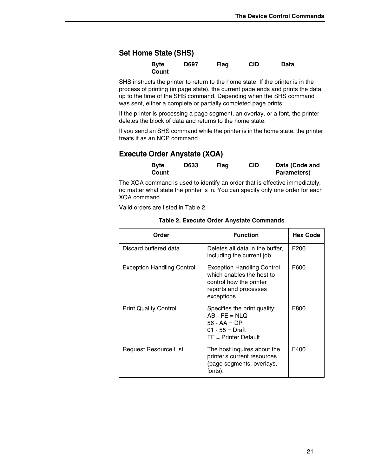#### <span id="page-20-4"></span><span id="page-20-0"></span>**Set Home State (SHS)**

| <b>Byte</b> | <b>D697</b> | Flag | <b>CID</b> | Data |
|-------------|-------------|------|------------|------|
| Count       |             |      |            |      |

SHS instructs the printer to return to the home state. If the printer is in the process of printing (in page state), the current page ends and prints the data up to the time of the SHS command. Depending when the SHS command was sent, either a complete or partially completed page prints.

If the printer is processing a page segment, an overlay, or a font, the printer deletes the block of data and returns to the home state.

If you send an SHS command while the printer is in the home state, the printer treats it as an NOP command.

#### <span id="page-20-3"></span><span id="page-20-1"></span>**Execute Order Anystate (XOA)**

| <b>Byte</b> | <b>D633</b> | Flag | <b>CID</b> | Data (Code and |
|-------------|-------------|------|------------|----------------|
| Count       |             |      |            | Parameters)    |

The XOA command is used to identify an order that is effective immediately, no matter what state the printer is in. You can specify only one order for each XOA command.

Valid orders are listed in [Table 2](#page-20-2).

<span id="page-20-2"></span>

| Order                             | <b>Function</b>                                                                                                                    | <b>Hex Code</b>  |
|-----------------------------------|------------------------------------------------------------------------------------------------------------------------------------|------------------|
| Discard buffered data             | Deletes all data in the buffer,<br>including the current job.                                                                      | F <sub>200</sub> |
| <b>Exception Handling Control</b> | <b>Exception Handling Control,</b><br>which enables the host to<br>control how the printer<br>reports and processes<br>exceptions. | F600             |
| <b>Print Quality Control</b>      | Specifies the print quality:<br>$AB - FE = NLO$<br>$56 - AA = DP$<br>$01 - 55 = Draft$<br>$FF = Printer Default$                   | F800             |
| <b>Request Resource List</b>      | The host inquires about the<br>printer's current resources<br>(page segments, overlays,<br>fonts).                                 | F400             |

#### **Table 2. Execute Order Anystate Commands**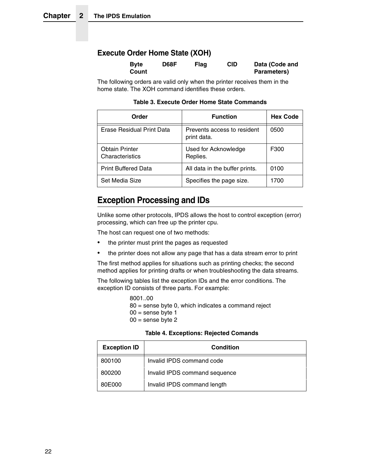#### <span id="page-21-5"></span><span id="page-21-0"></span>**Execute Order Home State (XOH)**

| <b>Byte</b> | D68F | <b>Flag</b> | <b>CID</b> | Data (Code and |
|-------------|------|-------------|------------|----------------|
| Count       |      |             |            | Parameters)    |

The following orders are valid only when the printer receives them in the home state. The XOH command identifies these orders.

| Table 3. Execute Order Home State Commands |  |  |  |  |  |  |
|--------------------------------------------|--|--|--|--|--|--|
|--------------------------------------------|--|--|--|--|--|--|

| Order                                    | <b>Function</b>                            | <b>Hex Code</b> |
|------------------------------------------|--------------------------------------------|-----------------|
| Erase Residual Print Data                | Prevents access to resident<br>print data. | 0500            |
| <b>Obtain Printer</b><br>Characteristics | Used for Acknowledge<br>Replies.           | F300            |
| <b>Print Buffered Data</b>               | All data in the buffer prints.             | 0100            |
| Set Media Size                           | Specifies the page size.                   | 1700            |

## <span id="page-21-3"></span><span id="page-21-1"></span>**Exception Processing and IDs**

Unlike some other protocols, IPDS allows the host to control exception (error) processing, which can free up the printer cpu.

The host can request one of two methods:

- the printer must print the pages as requested
- the printer does not allow any page that has a data stream error to print

The first method applies for situations such as printing checks; the second method applies for printing drafts or when troubleshooting the data streams.

The following tables list the exception IDs and the error conditions. The exception ID consists of three parts. For example:

> 8001..00 80 = sense byte 0, which indicates a command reject  $00 =$  sense byte 1  $00 =$  sense byte 2

#### <span id="page-21-4"></span><span id="page-21-2"></span>**Table 4. Exceptions: Rejected Comands**

| <b>Exception ID</b> | <b>Condition</b>              |
|---------------------|-------------------------------|
| 800100              | Invalid IPDS command code     |
| 800200              | Invalid IPDS command sequence |
| 80E000              | Invalid IPDS command length   |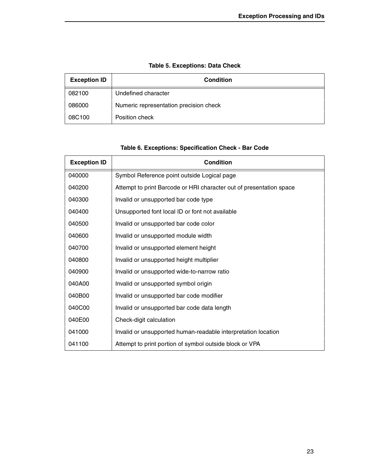<span id="page-22-1"></span>

|  | <b>Table 5. Exceptions: Data Check</b> |  |
|--|----------------------------------------|--|
|--|----------------------------------------|--|

| <b>Exception ID</b> | <b>Condition</b>                       |
|---------------------|----------------------------------------|
| 082100              | Undefined character                    |
| 086000              | Numeric representation precision check |
| 08C100              | Position check                         |

#### <span id="page-22-0"></span>**Table 6. Exceptions: Specification Check - Bar Code**

| <b>Exception ID</b> | <b>Condition</b>                                                    |
|---------------------|---------------------------------------------------------------------|
| 040000              | Symbol Reference point outside Logical page                         |
| 040200              | Attempt to print Barcode or HRI character out of presentation space |
| 040300              | Invalid or unsupported bar code type                                |
| 040400              | Unsupported font local ID or font not available                     |
| 040500              | Invalid or unsupported bar code color                               |
| 040600              | Invalid or unsupported module width                                 |
| 040700              | Invalid or unsupported element height                               |
| 040800              | Invalid or unsupported height multiplier                            |
| 040900              | Invalid or unsupported wide-to-narrow ratio                         |
| 040A00              | Invalid or unsupported symbol origin                                |
| 040B00              | Invalid or unsupported bar code modifier                            |
| 040C00              | Invalid or unsupported bar code data length                         |
| 040E00              | Check-digit calculation                                             |
| 041000              | Invalid or unsupported human-readable interpretation location       |
| 041100              | Attempt to print portion of symbol outside block or VPA             |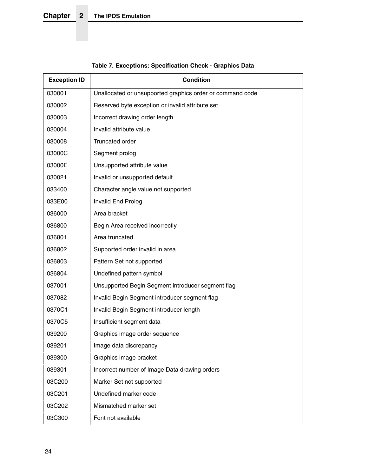#### **Chapter 2 The IPDS Emulation**

| <b>Exception ID</b> | <b>Condition</b>                                          |
|---------------------|-----------------------------------------------------------|
| 030001              | Unallocated or unsupported graphics order or command code |
| 030002              | Reserved byte exception or invalid attribute set          |
| 030003              | Incorrect drawing order length                            |
| 030004              | Invalid attribute value                                   |
| 030008              | Truncated order                                           |
| 03000C              | Segment prolog                                            |
| 03000E              | Unsupported attribute value                               |
| 030021              | Invalid or unsupported default                            |
| 033400              | Character angle value not supported                       |
| 033E00              | Invalid End Prolog                                        |
| 036000              | Area bracket                                              |
| 036800              | Begin Area received incorrectly                           |
| 036801              | Area truncated                                            |
| 036802              | Supported order invalid in area                           |
| 036803              | Pattern Set not supported                                 |
| 036804              | Undefined pattern symbol                                  |
| 037001              | Unsupported Begin Segment introducer segment flag         |
| 037082              | Invalid Begin Segment introducer segment flag             |
| 0370C1              | Invalid Begin Segment introducer length                   |
| 0370C5              | Insufficient segment data                                 |
| 039200              | Graphics image order sequence                             |
| 039201              | Image data discrepancy                                    |
| 039300              | Graphics image bracket                                    |
| 039301              | Incorrect number of Image Data drawing orders             |
| 03C200              | Marker Set not supported                                  |
| 03C201              | Undefined marker code                                     |
| 03C202              | Mismatched marker set                                     |
| 03C300              | Font not available                                        |

#### <span id="page-23-0"></span>**Table 7. Exceptions: Specification Check - Graphics Data**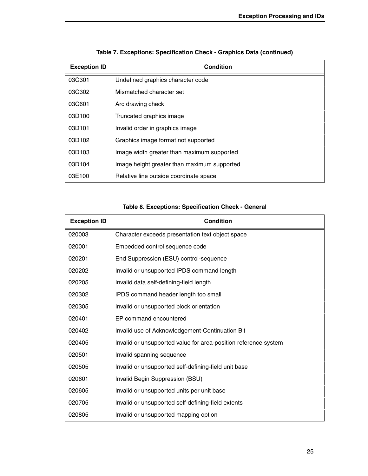| <b>Exception ID</b> | Condition                                   |
|---------------------|---------------------------------------------|
| 03C301              | Undefined graphics character code           |
| 03C302              | Mismatched character set                    |
| 03C601              | Arc drawing check                           |
| 03D100              | Truncated graphics image                    |
| 03D101              | Invalid order in graphics image             |
| 03D102              | Graphics image format not supported         |
| 03D103              | Image width greater than maximum supported  |
| 03D104              | Image height greater than maximum supported |
| 03E100              | Relative line outside coordinate space      |

**Table 7. Exceptions: Specification Check - Graphics Data (continued)**

#### <span id="page-24-0"></span>**Table 8. Exceptions: Specification Check - General**

| <b>Exception ID</b> | <b>Condition</b>                                                |  |
|---------------------|-----------------------------------------------------------------|--|
| 020003              | Character exceeds presentation text object space                |  |
| 020001              | Embedded control sequence code                                  |  |
| 020201              | End Suppression (ESU) control-sequence                          |  |
| 020202              | Invalid or unsupported IPDS command length                      |  |
| 020205              | Invalid data self-defining-field length                         |  |
| 020302              | IPDS command header length too small                            |  |
| 020305              | Invalid or unsupported block orientation                        |  |
| 020401              | EP command encountered                                          |  |
| 020402              | Invalid use of Acknowledgement-Continuation Bit                 |  |
| 020405              | Invalid or unsupported value for area-position reference system |  |
| 020501              | Invalid spanning sequence                                       |  |
| 020505              | Invalid or unsupported self-defining-field unit base            |  |
| 020601              | Invalid Begin Suppression (BSU)                                 |  |
| 020605              | Invalid or unsupported units per unit base                      |  |
| 020705              | Invalid or unsupported self-defining-field extents              |  |
| 020805              | Invalid or unsupported mapping option                           |  |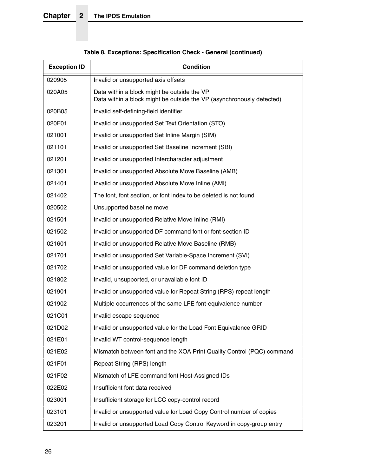#### **Chapter 2 The IPDS Emulation**

| <b>Exception ID</b> | <b>Condition</b>                                                                                                     |
|---------------------|----------------------------------------------------------------------------------------------------------------------|
| 020905              | Invalid or unsupported axis offsets                                                                                  |
| 020A05              | Data within a block might be outside the VP<br>Data within a block might be outside the VP (asynchronously detected) |
| 020B05              | Invalid self-defining-field identifier                                                                               |
| 020F01              | Invalid or unsupported Set Text Orientation (STO)                                                                    |
| 021001              | Invalid or unsupported Set Inline Margin (SIM)                                                                       |
| 021101              | Invalid or unsupported Set Baseline Increment (SBI)                                                                  |
| 021201              | Invalid or unsupported Intercharacter adjustment                                                                     |
| 021301              | Invalid or unsupported Absolute Move Baseline (AMB)                                                                  |
| 021401              | Invalid or unsupported Absolute Move Inline (AMI)                                                                    |
| 021402              | The font, font section, or font index to be deleted is not found                                                     |
| 020502              | Unsupported baseline move                                                                                            |
| 021501              | Invalid or unsupported Relative Move Inline (RMI)                                                                    |
| 021502              | Invalid or unsupported DF command font or font-section ID                                                            |
| 021601              | Invalid or unsupported Relative Move Baseline (RMB)                                                                  |
| 021701              | Invalid or unsupported Set Variable-Space Increment (SVI)                                                            |
| 021702              | Invalid or unsupported value for DF command deletion type                                                            |
| 021802              | Invalid, unsupported, or unavailable font ID                                                                         |
| 021901              | Invalid or unsupported value for Repeat String (RPS) repeat length                                                   |
| 021902              | Multiple occurrences of the same LFE font-equivalence number                                                         |
| 021C01              | Invalid escape sequence                                                                                              |
| 021D02              | Invalid or unsupported value for the Load Font Equivalence GRID                                                      |
| 021E01              | Invalid WT control-sequence length                                                                                   |
| 021E02              | Mismatch between font and the XOA Print Quality Control (PQC) command                                                |
| 021F01              | Repeat String (RPS) length                                                                                           |
| 021F02              | Mismatch of LFE command font Host-Assigned IDs                                                                       |
| 022E02              | Insufficient font data received                                                                                      |
| 023001              | Insufficient storage for LCC copy-control record                                                                     |
| 023101              | Invalid or unsupported value for Load Copy Control number of copies                                                  |
| 023201              | Invalid or unsupported Load Copy Control Keyword in copy-group entry                                                 |

|  |  |  | Table 8. Exceptions: Specification Check - General (continued) |  |
|--|--|--|----------------------------------------------------------------|--|
|--|--|--|----------------------------------------------------------------|--|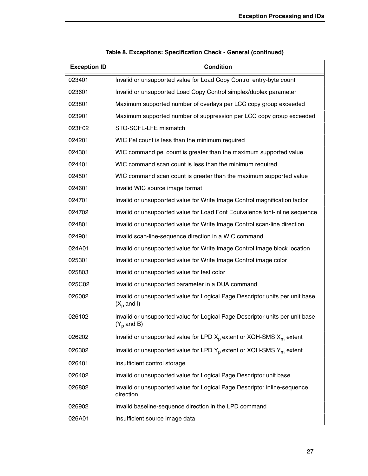| <b>Exception ID</b> | <b>Condition</b>                                                                                       |
|---------------------|--------------------------------------------------------------------------------------------------------|
| 023401              | Invalid or unsupported value for Load Copy Control entry-byte count                                    |
| 023601              | Invalid or unsupported Load Copy Control simplex/duplex parameter                                      |
| 023801              | Maximum supported number of overlays per LCC copy group exceeded                                       |
| 023901              | Maximum supported number of suppression per LCC copy group exceeded                                    |
| 023F02              | STO-SCFL-LFE mismatch                                                                                  |
| 024201              | WIC Pel count is less than the minimum required                                                        |
| 024301              | WIC command pel count is greater than the maximum supported value                                      |
| 024401              | WIC command scan count is less than the minimum required                                               |
| 024501              | WIC command scan count is greater than the maximum supported value                                     |
| 024601              | Invalid WIC source image format                                                                        |
| 024701              | Invalid or unsupported value for Write Image Control magnification factor                              |
| 024702              | Invalid or unsupported value for Load Font Equivalence font-inline sequence                            |
| 024801              | Invalid or unsupported value for Write Image Control scan-line direction                               |
| 024901              | Invalid scan-line-sequence direction in a WIC command                                                  |
| 024A01              | Invalid or unsupported value for Write Image Control image block location                              |
| 025301              | Invalid or unsupported value for Write Image Control image color                                       |
| 025803              | Invalid or unsupported value for test color                                                            |
| 025C02              | Invalid or unsupported parameter in a DUA command                                                      |
| 026002              | Invalid or unsupported value for Logical Page Descriptor units per unit base<br>$(X_p \text{ and } I)$ |
| 026102              | Invalid or unsupported value for Logical Page Descriptor units per unit base<br>$(Y_p$ and B)          |
| 026202              | Invalid or unsupported value for LPD $X_p$ extent or XOH-SMS $X_m$ extent                              |
| 026302              | Invalid or unsupported value for LPD $Y_p$ extent or XOH-SMS $Y_m$ extent                              |
| 026401              | Insufficient control storage                                                                           |
| 026402              | Invalid or unsupported value for Logical Page Descriptor unit base                                     |
| 026802              | Invalid or unsupported value for Logical Page Descriptor inline-sequence<br>direction                  |
| 026902              | Invalid baseline-sequence direction in the LPD command                                                 |
| 026A01              | Insufficient source image data                                                                         |

| Table 8. Exceptions: Specification Check - General (continued) |  |
|----------------------------------------------------------------|--|
|----------------------------------------------------------------|--|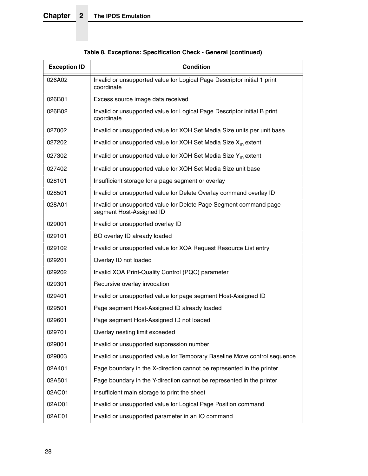| <b>Exception ID</b> | <b>Condition</b>                                                                              |
|---------------------|-----------------------------------------------------------------------------------------------|
| 026A02              | Invalid or unsupported value for Logical Page Descriptor initial 1 print<br>coordinate        |
| 026B01              | Excess source image data received                                                             |
| 026B02              | Invalid or unsupported value for Logical Page Descriptor initial B print<br>coordinate        |
| 027002              | Invalid or unsupported value for XOH Set Media Size units per unit base                       |
| 027202              | Invalid or unsupported value for XOH Set Media Size X <sub>m</sub> extent                     |
| 027302              | Invalid or unsupported value for XOH Set Media Size $Y_m$ extent                              |
| 027402              | Invalid or unsupported value for XOH Set Media Size unit base                                 |
| 028101              | Insufficient storage for a page segment or overlay                                            |
| 028501              | Invalid or unsupported value for Delete Overlay command overlay ID                            |
| 028A01              | Invalid or unsupported value for Delete Page Segment command page<br>segment Host-Assigned ID |
| 029001              | Invalid or unsupported overlay ID                                                             |
| 029101              | BO overlay ID already loaded                                                                  |
| 029102              | Invalid or unsupported value for XOA Request Resource List entry                              |
| 029201              | Overlay ID not loaded                                                                         |
| 029202              | Invalid XOA Print-Quality Control (PQC) parameter                                             |
| 029301              | Recursive overlay invocation                                                                  |
| 029401              | Invalid or unsupported value for page segment Host-Assigned ID                                |
| 029501              | Page segment Host-Assigned ID already loaded                                                  |
| 029601              | Page segment Host-Assigned ID not loaded                                                      |
| 029701              | Overlay nesting limit exceeded                                                                |
| 029801              | Invalid or unsupported suppression number                                                     |
| 029803              | Invalid or unsupported value for Temporary Baseline Move control sequence                     |
| 02A401              | Page boundary in the X-direction cannot be represented in the printer                         |
| 02A501              | Page boundary in the Y-direction cannot be represented in the printer                         |
| 02AC01              | Insufficient main storage to print the sheet                                                  |
| 02AD01              | Invalid or unsupported value for Logical Page Position command                                |
| 02AE01              | Invalid or unsupported parameter in an IO command                                             |

|  |  |  | Table 8. Exceptions: Specification Check - General (continued) |  |
|--|--|--|----------------------------------------------------------------|--|
|--|--|--|----------------------------------------------------------------|--|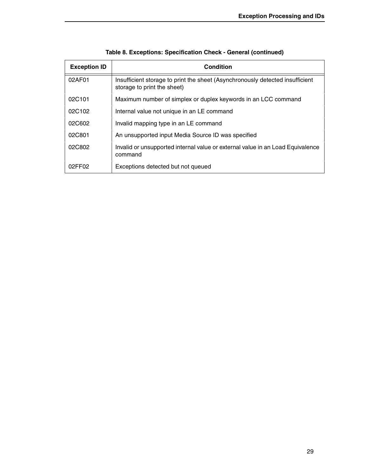| <b>Exception ID</b> | <b>Condition</b>                                                                                             |
|---------------------|--------------------------------------------------------------------------------------------------------------|
| 02AF01              | Insufficient storage to print the sheet (Asynchronously detected insufficient<br>storage to print the sheet) |
| 02C101              | Maximum number of simplex or duplex keywords in an LCC command                                               |
| 02C102              | Internal value not unique in an LE command                                                                   |
| 02C602              | Invalid mapping type in an LE command                                                                        |
| 02C801              | An unsupported input Media Source ID was specified                                                           |
| 02C802              | Invalid or unsupported internal value or external value in an Load Equivalence<br>command                    |
| 02FF02              | Exceptions detected but not queued                                                                           |

|  |  | Table 8. Exceptions: Specification Check - General (continued) |
|--|--|----------------------------------------------------------------|
|--|--|----------------------------------------------------------------|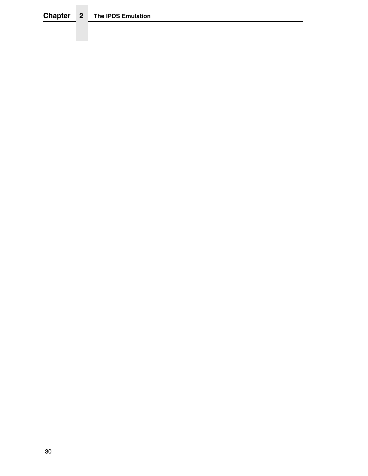# **Chapter 2 The IPDS Emulation**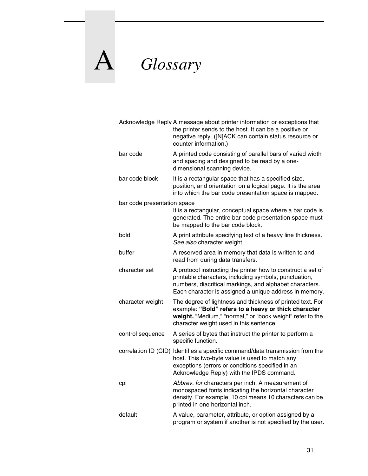# <span id="page-30-0"></span>A *Glossary*

<span id="page-30-1"></span>

|                             | Acknowledge Reply A message about printer information or exceptions that<br>the printer sends to the host. It can be a positive or<br>negative reply. ([N]ACK can contain status resource or<br>counter information.)                      |
|-----------------------------|--------------------------------------------------------------------------------------------------------------------------------------------------------------------------------------------------------------------------------------------|
| bar code                    | A printed code consisting of parallel bars of varied width<br>and spacing and designed to be read by a one-<br>dimensional scanning device.                                                                                                |
| bar code block              | It is a rectangular space that has a specified size,<br>position, and orientation on a logical page. It is the area<br>into which the bar code presentation space is mapped.                                                               |
| bar code presentation space |                                                                                                                                                                                                                                            |
|                             | It is a rectangular, conceptual space where a bar code is<br>generated. The entire bar code presentation space must<br>be mapped to the bar code block.                                                                                    |
| bold                        | A print attribute specifying text of a heavy line thickness.<br>See also character weight.                                                                                                                                                 |
| buffer                      | A reserved area in memory that data is written to and<br>read from during data transfers.                                                                                                                                                  |
| character set               | A protocol instructing the printer how to construct a set of<br>printable characters, including symbols, punctuation,<br>numbers, diacritical markings, and alphabet characters.<br>Each character is assigned a unique address in memory. |
| character weight            | The degree of lightness and thickness of printed text. For<br>example: "Bold" refers to a heavy or thick character<br>weight. "Medium," "normal," or "book weight" refer to the<br>character weight used in this sentence.                 |
| control sequence            | A series of bytes that instruct the printer to perform a<br>specific function.                                                                                                                                                             |
|                             | correlation ID (CID) Identifies a specific command/data transmission from the<br>host. This two-byte value is used to match any<br>exceptions (errors or conditions specified in an<br>Acknowledge Reply) with the IPDS command.           |
| cpi                         | Abbrev. for characters per inch. A measurement of<br>monospaced fonts indicating the horizontal character<br>density. For example, 10 cpi means 10 characters can be<br>printed in one horizontal inch.                                    |
| default                     | A value, parameter, attribute, or option assigned by a<br>program or system if another is not specified by the user.                                                                                                                       |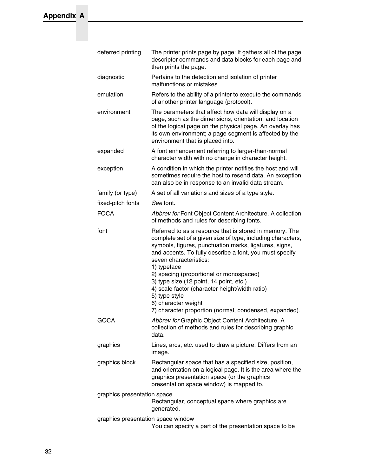# **Appendix A**

| deferred printing                  | The printer prints page by page: It gathers all of the page<br>descriptor commands and data blocks for each page and<br>then prints the page.                                                                                                                                                                                   |  |
|------------------------------------|---------------------------------------------------------------------------------------------------------------------------------------------------------------------------------------------------------------------------------------------------------------------------------------------------------------------------------|--|
| diagnostic                         | Pertains to the detection and isolation of printer<br>malfunctions or mistakes.                                                                                                                                                                                                                                                 |  |
| emulation                          | Refers to the ability of a printer to execute the commands<br>of another printer language (protocol).                                                                                                                                                                                                                           |  |
| environment                        | The parameters that affect how data will display on a<br>page, such as the dimensions, orientation, and location<br>of the logical page on the physical page. An overlay has<br>its own environment; a page segment is affected by the<br>environment that is placed into.                                                      |  |
| expanded                           | A font enhancement referring to larger-than-normal<br>character width with no change in character height.                                                                                                                                                                                                                       |  |
| exception                          | A condition in which the printer notifies the host and will<br>sometimes require the host to resend data. An exception<br>can also be in response to an invalid data stream.                                                                                                                                                    |  |
| family (or type)                   | A set of all variations and sizes of a type style.                                                                                                                                                                                                                                                                              |  |
| fixed-pitch fonts                  | See font.                                                                                                                                                                                                                                                                                                                       |  |
| <b>FOCA</b>                        | Abbrev for Font Object Content Architecture. A collection<br>of methods and rules for describing fonts.                                                                                                                                                                                                                         |  |
| font                               | Referred to as a resource that is stored in memory. The<br>complete set of a given size of type, including characters,<br>symbols, figures, punctuation marks, ligatures, signs,<br>and accents. To fully describe a font, you must specify<br>seven characteristics:<br>1) typeface<br>2) spacing (proportional or monospaced) |  |
|                                    | 3) type size (12 point, 14 point, etc.)<br>4) scale factor (character height/width ratio)                                                                                                                                                                                                                                       |  |
|                                    | 5) type style<br>6) character weight<br>7) character proportion (normal, condensed, expanded).                                                                                                                                                                                                                                  |  |
| <b>GOCA</b>                        | Abbrev for Graphic Object Content Architecture. A<br>collection of methods and rules for describing graphic<br>data.                                                                                                                                                                                                            |  |
| graphics                           | Lines, arcs, etc. used to draw a picture. Differs from an<br>image.                                                                                                                                                                                                                                                             |  |
| graphics block                     | Rectangular space that has a specified size, position,<br>and orientation on a logical page. It is the area where the<br>graphics presentation space (or the graphics<br>presentation space window) is mapped to.                                                                                                               |  |
| graphics presentation space        | Rectangular, conceptual space where graphics are<br>generated.                                                                                                                                                                                                                                                                  |  |
| graphics presentation space window |                                                                                                                                                                                                                                                                                                                                 |  |
|                                    | You can specify a part of the presentation space to be                                                                                                                                                                                                                                                                          |  |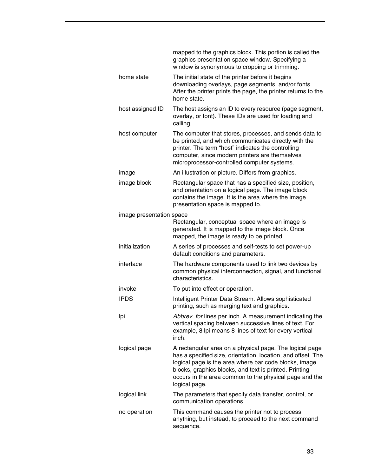|                          | mapped to the graphics block. This portion is called the<br>graphics presentation space window. Specifying a<br>window is synonymous to cropping or trimming.                                                                                                                                                         |
|--------------------------|-----------------------------------------------------------------------------------------------------------------------------------------------------------------------------------------------------------------------------------------------------------------------------------------------------------------------|
| home state               | The initial state of the printer before it begins<br>downloading overlays, page segments, and/or fonts.<br>After the printer prints the page, the printer returns to the<br>home state.                                                                                                                               |
| host assigned ID         | The host assigns an ID to every resource (page segment,<br>overlay, or font). These IDs are used for loading and<br>calling.                                                                                                                                                                                          |
| host computer            | The computer that stores, processes, and sends data to<br>be printed, and which communicates directly with the<br>printer. The term "host" indicates the controlling<br>computer, since modern printers are themselves<br>microprocessor-controlled computer systems.                                                 |
| image                    | An illustration or picture. Differs from graphics.                                                                                                                                                                                                                                                                    |
| image block              | Rectangular space that has a specified size, position,<br>and orientation on a logical page. The image block<br>contains the image. It is the area where the image<br>presentation space is mapped to.                                                                                                                |
| image presentation space | Rectangular, conceptual space where an image is<br>generated. It is mapped to the image block. Once<br>mapped, the image is ready to be printed.                                                                                                                                                                      |
| initialization           | A series of processes and self-tests to set power-up<br>default conditions and parameters.                                                                                                                                                                                                                            |
| interface                | The hardware components used to link two devices by<br>common physical interconnection, signal, and functional<br>characteristics.                                                                                                                                                                                    |
| invoke                   | To put into effect or operation.                                                                                                                                                                                                                                                                                      |
| <b>IPDS</b>              | Intelligent Printer Data Stream. Allows sophisticated<br>printing, such as merging text and graphics.                                                                                                                                                                                                                 |
| lpi                      | Abbrev. for lines per inch. A measurement indicating the<br>vertical spacing between successive lines of text. For<br>example, 8 lpi means 8 lines of text for every vertical<br>inch.                                                                                                                                |
| logical page             | A rectangular area on a physical page. The logical page<br>has a specified size, orientation, location, and offset. The<br>logical page is the area where bar code blocks, image<br>blocks, graphics blocks, and text is printed. Printing<br>occurs in the area common to the physical page and the<br>logical page. |
| logical link             | The parameters that specify data transfer, control, or<br>communication operations.                                                                                                                                                                                                                                   |
| no operation             | This command causes the printer not to process<br>anything, but instead, to proceed to the next command<br>sequence.                                                                                                                                                                                                  |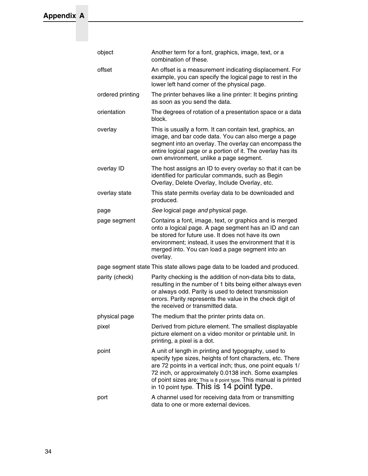| object           | Another term for a font, graphics, image, text, or a<br>combination of these.                                                                                                                                                                                                                                                                             |
|------------------|-----------------------------------------------------------------------------------------------------------------------------------------------------------------------------------------------------------------------------------------------------------------------------------------------------------------------------------------------------------|
| offset           | An offset is a measurement indicating displacement. For<br>example, you can specify the logical page to rest in the<br>lower left hand corner of the physical page.                                                                                                                                                                                       |
| ordered printing | The printer behaves like a line printer: It begins printing<br>as soon as you send the data.                                                                                                                                                                                                                                                              |
| orientation      | The degrees of rotation of a presentation space or a data<br>block.                                                                                                                                                                                                                                                                                       |
| overlay          | This is usually a form. It can contain text, graphics, an<br>image, and bar code data. You can also merge a page<br>segment into an overlay. The overlay can encompass the<br>entire logical page or a portion of it. The overlay has its<br>own environment, unlike a page segment.                                                                      |
| overlay ID       | The host assigns an ID to every overlay so that it can be<br>identified for particular commands, such as Begin<br>Overlay, Delete Overlay, Include Overlay, etc.                                                                                                                                                                                          |
| overlay state    | This state permits overlay data to be downloaded and<br>produced.                                                                                                                                                                                                                                                                                         |
| page             | See logical page and physical page.                                                                                                                                                                                                                                                                                                                       |
| page segment     | Contains a font, image, text, or graphics and is merged<br>onto a logical page. A page segment has an ID and can<br>be stored for future use. It does not have its own<br>environment; instead, it uses the environment that it is<br>merged into. You can load a page segment into an<br>overlay.                                                        |
|                  | page segment state This state allows page data to be loaded and produced.                                                                                                                                                                                                                                                                                 |
| parity (check)   | Parity checking is the addition of non-data bits to data,<br>resulting in the number of 1 bits being either always even<br>or always odd. Parity is used to detect transmission<br>errors. Parity represents the value in the check digit of<br>the received or transmitted data.                                                                         |
| physical page    | The medium that the printer prints data on                                                                                                                                                                                                                                                                                                                |
| pixel            | Derived from picture element. The smallest displayable<br>picture element on a video monitor or printable unit. In<br>printing, a pixel is a dot.                                                                                                                                                                                                         |
| point            | A unit of length in printing and typography, used to<br>specify type sizes, heights of font characters, etc. There<br>are 72 points in a vertical inch; thus, one point equals 1/<br>72 inch, or approximately 0.0138 inch. Some examples<br>of point sizes are: This is 8 point type. This manual is printed<br>in 10 point type. This is 14 point type. |
| port             | A channel used for receiving data from or transmitting<br>data to one or more external devices.                                                                                                                                                                                                                                                           |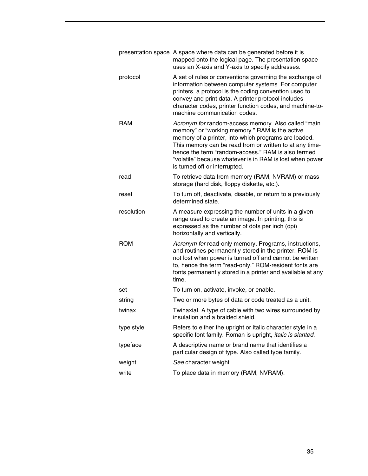|            | presentation space A space where data can be generated before it is<br>mapped onto the logical page. The presentation space<br>uses an X-axis and Y-axis to specify addresses.                                                                                                                                                                                              |
|------------|-----------------------------------------------------------------------------------------------------------------------------------------------------------------------------------------------------------------------------------------------------------------------------------------------------------------------------------------------------------------------------|
| protocol   | A set of rules or conventions governing the exchange of<br>information between computer systems. For computer<br>printers, a protocol is the coding convention used to<br>convey and print data. A printer protocol includes<br>character codes, printer function codes, and machine-to-<br>machine communication codes.                                                    |
| <b>RAM</b> | Acronym for random-access memory. Also called "main<br>memory" or "working memory." RAM is the active<br>memory of a printer, into which programs are loaded.<br>This memory can be read from or written to at any time-<br>hence the term "random-access." RAM is also termed<br>"volatile" because whatever is in RAM is lost when power<br>is turned off or interrupted. |
| read       | To retrieve data from memory (RAM, NVRAM) or mass<br>storage (hard disk, floppy diskette, etc.).                                                                                                                                                                                                                                                                            |
| reset      | To turn off, deactivate, disable, or return to a previously<br>determined state.                                                                                                                                                                                                                                                                                            |
| resolution | A measure expressing the number of units in a given<br>range used to create an image. In printing, this is<br>expressed as the number of dots per inch (dpi)<br>horizontally and vertically.                                                                                                                                                                                |
| <b>ROM</b> | Acronym for read-only memory. Programs, instructions,<br>and routines permanently stored in the printer. ROM is<br>not lost when power is turned off and cannot be written<br>to, hence the term "read-only." ROM-resident fonts are<br>fonts permanently stored in a printer and available at any<br>time.                                                                 |
| set        | To turn on, activate, invoke, or enable.                                                                                                                                                                                                                                                                                                                                    |
| string     | Two or more bytes of data or code treated as a unit.                                                                                                                                                                                                                                                                                                                        |
| twinax     | Twinaxial. A type of cable with two wires surrounded by<br>insulation and a braided shield.                                                                                                                                                                                                                                                                                 |
| type style | Refers to either the upright or italic character style in a<br>specific font family. Roman is upright, <i>italic is slanted</i> .                                                                                                                                                                                                                                           |
| typeface   | A descriptive name or brand name that identifies a<br>particular design of type. Also called type family.                                                                                                                                                                                                                                                                   |
| weight     | See character weight.                                                                                                                                                                                                                                                                                                                                                       |
| write      | To place data in memory (RAM, NVRAM).                                                                                                                                                                                                                                                                                                                                       |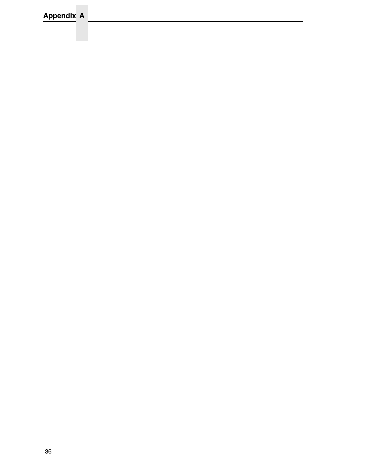# **Appendix A**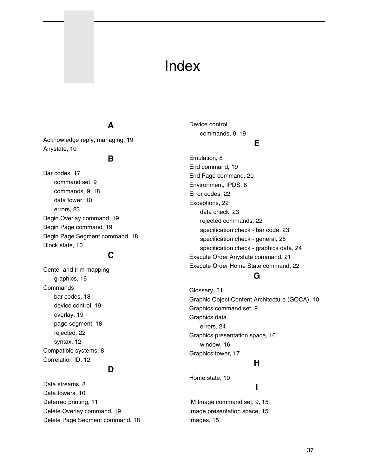# Index

# **A**

[Acknowledge reply, managing, 19](#page-18-7) [Anystate, 10](#page-9-2)

#### **B**

[Bar codes, 17](#page-16-4) [command set, 9](#page-8-4) [commands, 9,](#page-8-5) [18](#page-17-7) [data tower, 10](#page-9-3) [errors, 23](#page-22-0) [Begin Overlay command, 19](#page-18-8) [Begin Page command, 19](#page-18-9) [Begin Page Segment command, 18](#page-17-8) [Block state, 10](#page-9-4)

#### **C**

Center and trim mapping [graphics, 16](#page-15-1) **Commands** [bar codes, 18](#page-17-7) [device control, 19](#page-18-7) [overlay, 19](#page-18-10) [page segment, 18](#page-17-9) [rejected, 22](#page-21-2) [syntax, 12](#page-11-1) [Compatible systems, 8](#page-7-5) [Correlation ID, 12](#page-11-2)

#### **D**

[Data streams, 8](#page-7-6) [Data towers, 10](#page-9-5) [Deferred printing, 11](#page-10-2) [Delete Overlay command, 19](#page-18-11) [Delete Page Segment command, 18](#page-17-10) Device control [commands, 9,](#page-8-6) [19](#page-18-7)

#### **E**

[Emulation, 8](#page-7-6) [End command, 19](#page-18-12) [End Page command, 20](#page-19-7) [Environment, IPDS, 8](#page-7-7) [Error codes, 22](#page-21-3) [Exceptions, 22](#page-21-3) [data check, 23](#page-22-1) [rejected commands, 22](#page-21-4) [specification check - bar code, 23](#page-22-0) [specification check - general, 25](#page-24-0) [specification check - graphics data, 24](#page-23-0) [Execute Order Anystate command, 21](#page-20-3) [Execute Order Home State command, 22](#page-21-5)

#### **G**

[Glossary, 31](#page-30-1) [Graphic Object Content Architecture \(GOCA\), 10](#page-9-6) [Graphics command set, 9](#page-8-7) Graphics data [errors, 24](#page-23-0) [Graphics presentation space, 16](#page-15-2) [window, 16](#page-15-2) [Graphics tower, 17](#page-16-5)

#### **H**

**I**

[IM Image command set, 9,](#page-8-8) [15](#page-14-4) [Image presentation space, 15](#page-14-5) [Images, 15](#page-14-5)

[Home state, 10](#page-9-7)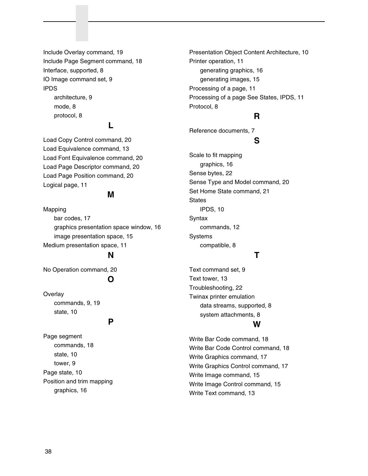[Include Overlay command, 19](#page-18-13) [Include Page Segment command, 18](#page-17-11) [Interface, supported, 8](#page-7-5) [IO Image command set, 9](#page-8-9) IPDS [architecture, 9](#page-8-5) [mode, 8](#page-7-7) [protocol, 8](#page-7-8)

#### **L**

[Load Copy Control command, 20](#page-19-8) [Load Equivalence command, 13](#page-12-3) [Load Font Equivalence command, 20](#page-19-9) [Load Page Descriptor command, 20](#page-19-10) [Load Page Position command, 20](#page-19-11) [Logical page, 11](#page-10-2)

#### **M**

Mapping [bar codes, 17](#page-16-4) [graphics presentation space window, 16](#page-15-2) [image presentation space, 15](#page-14-5) [Medium presentation space, 11](#page-10-2)

#### **N**

[No Operation command, 20](#page-19-12) **O**

#### **Overlay** [commands, 9,](#page-8-10) [19](#page-18-10) [state, 10](#page-9-8)

#### **P**

Page segment [commands, 18](#page-17-9) [state, 10](#page-9-9) [tower, 9](#page-8-11) [Page state, 10](#page-9-10) Position and trim mapping [graphics, 16](#page-15-3)

[Presentation Object Content Architecture, 10](#page-9-11) [Printer operation, 11](#page-10-2) [generating graphics, 16](#page-15-2) [generating images, 15](#page-14-5) [Processing of a page, 11](#page-10-2) [Processing of a page See States, IPDS, 11](#page-10-3) [Protocol, 8](#page-7-9)

## **R**

[Reference documents, 7](#page-6-5) **S**

Scale to fit mapping [graphics, 16](#page-15-4) [Sense bytes, 22](#page-21-3) [Sense Type and Model command, 20](#page-19-13) [Set Home State command, 21](#page-20-4) **States** [IPDS, 10](#page-9-12) **Syntax** [commands, 12](#page-11-1) **Systems** [compatible, 8](#page-7-5)

#### **T**

[Text command set, 9](#page-8-12) [Text tower, 13](#page-12-4) [Troubleshooting, 22](#page-21-3) Twinax printer emulation [data streams, supported, 8](#page-7-6) [system attachments, 8](#page-7-5)

#### **W**

[Write Bar Code command, 18](#page-17-12) [Write Bar Code Control command, 18](#page-17-13) [Write Graphics command, 17](#page-16-6) [Write Graphics Control command, 17](#page-16-7) [Write Image command, 15](#page-14-6) [Write Image Control command, 15](#page-14-7) [Write Text command, 13](#page-12-5)